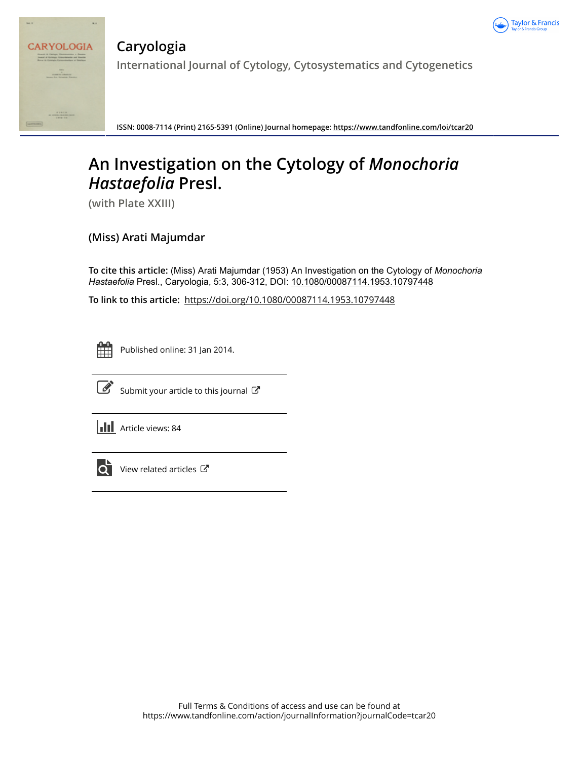



**Caryologia International Journal of Cytology, Cytosystematics and Cytogenetics**

**ISSN: 0008-7114 (Print) 2165-5391 (Online) Journal homepage:<https://www.tandfonline.com/loi/tcar20>**

# **An Investigation on the Cytology of** *Monochoria Hastaefolia* **Presl.**

**(with Plate XXIII)**

## **(Miss) Arati Majumdar**

**To cite this article:** (Miss) Arati Majumdar (1953) An Investigation on the Cytology of *Monochoria Hastaefolia* Presl., Caryologia, 5:3, 306-312, DOI: [10.1080/00087114.1953.10797448](https://www.tandfonline.com/action/showCitFormats?doi=10.1080/00087114.1953.10797448)

**To link to this article:** <https://doi.org/10.1080/00087114.1953.10797448>



Published online: 31 Jan 2014.



 $\overrightarrow{S}$  [Submit your article to this journal](https://www.tandfonline.com/action/authorSubmission?journalCode=tcar20&show=instructions)  $\overrightarrow{S}$ 

**III** Article views: 84



View related articles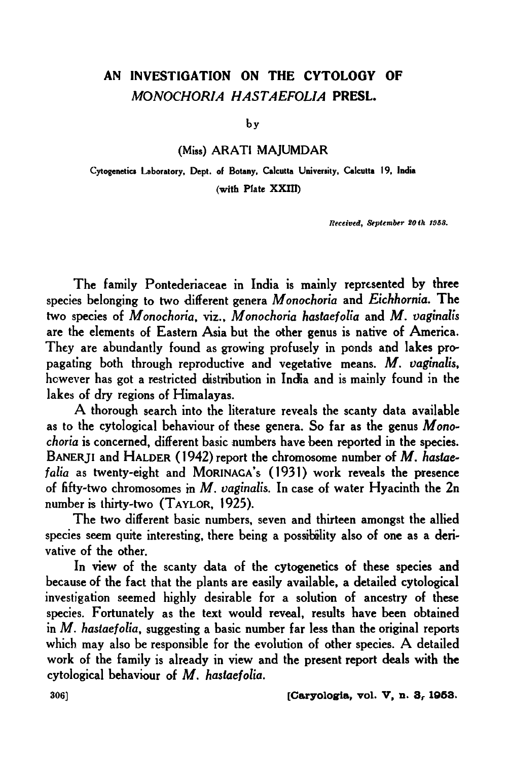## AN INVESTIGATION ON THE CYTOLOGY OF *MONOCHORIA HASTAEFOLIA* PRESL.

by

(Miss) ARATI MAJUMDAR

Cytogenetics Laboratory, Dept. of Botany, Calcutta University, Calcutta 19, India (with Plate XXIU)

Received, September 20th 1958.

The family Pontederiaceae in India is mainly represented by three species belonging to two different genera *M onochoria* and *Eichhornia.* The two species of *M onochoria,* viz., *M onochoria hastaefolia* and *M. vaginalis*  are the elements of Eastern Asia but the other genus is native of America. They are abundantly found as growing profusely in ponds and lakes propagating both through reproductive and vegetative means. *M. vaginalis,*  however has got a restricted distribution in India and is mainly found in the lakes of dry regions of Himalayas.

A thorough search into the literature reveals the scanty data available as to the cytological behaviour of these genera. So far as the genus *Monochoria* is concerned, different basic numbers have been reported in the species. BANERJI and HALDER { 1942) report the chromosome number of *M. hasiaefalia* as twenty-eight and MoRINAGA's (1931) work reveals the presence of fifty-two chromosomes in *M. vaginalis.* In case of water Hyacinth the 2n number is thirty-two (TAYLOR, 1925).

The two different basic numbers, seven and thirteen amongst the allied species seem quite interesting, there being a possibility also of one as a derivative of the other.

In view of the scanty data of the cytogenetics of these species and because of the fact that the plants are easily available, a detailed cytological investigation seemed highly desirable for a solution of ancestry of these species. Fortunately as the text would reveal, results have been obtained in *M. hastaefolia,* suggesting a basic number far less than the original reports which may also be responsible for the evolution of other species. A detailed work of the family is already in view and the present report deals with the cytological behaviour of *M. haslaefolia.* 

306] [Caryologia, vol. V, n. 3, 1953.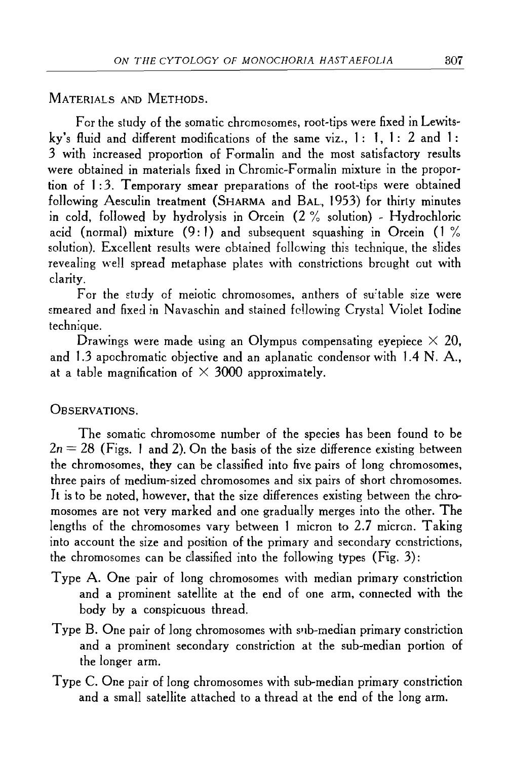MATERIALS AND METHODS.

For the study of the somatic chromosomes, root-tips were fixed in Lewitsky's fluid and different modifications of the same viz., **1 : 1, 1** : 2 and **1** : 3 with increased proportion of Formalin and the most satisfactory results were obtained in materials fixed in Chromic-Formalin mixture in the proportion of **1** :3. Temporary smear preparations of the root~tips were obtained following Aesculin treatment (SHARMA and BAL, 1953) for thirty minutes in cold, followed by hydrolysis in Orcein (2 % solution} ~ Hydrochloric acid (normal) mixture (9: **1)** and subsequent squashing in Orcein ( **1** % solution). Excellent results were obtained following this technique, the slides revealing well spread metaphase plates with constrictions brought out with clarity.

For the study of meiotic chromosomes, anthers of suitable size were smeared and fixed in Navaschin and stained following Crystal Violet Iodine technique.

Drawings were made using an Olympus compensating eyepiece  $\times$  20, and 1.3 apochromatic objective and an aplanatic condensor with 1.4 N. A., at a table magnification of  $\times$  3000 approximately.

OBSERVATIONS.

The somatic chromosome number of the species has been found to be  $2n = 28$  (Figs. 1 and 2). On the basis of the size difference existing between the chromosomes, they can be classified into five pairs of long chromosomes, three pairs of medium~sized chromosomes and six pairs of short chromosomes. It is to be noted, however, that the size differences existing between the chromosomes are not very marked and one gradually merges into the other. **The**  lengths of the chromosomes vary between 1 micron to 2.7 micron. Taking into account the size and position of the primary and secondary constrictions, the chromosomes can be classified into the following types (Fig. 3):

- Type A. One pair of long chromosomes with median primary constriction and a prominent satellite at the end of one arm, connected with the body by a conspicuous thread.
- Type B. One pair of long chromosomes with sub-median primary constriction and a prominent secondary constriction at the sub~median portion of the longer arm.
- Type C. One pair of long chromosomes with sub~median primary constriction and a small satellite attached to a thread at the end of the long arm.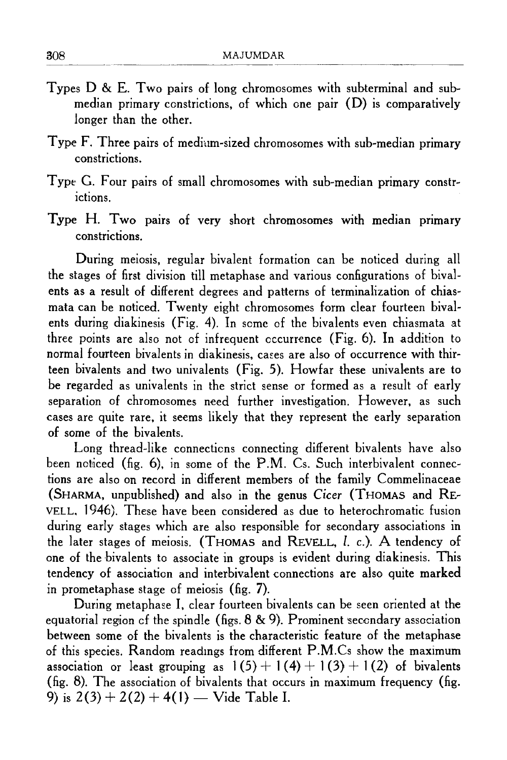- Types D & E. Two pairs of long chromosomes with subterminal and submedian primary constrictions, of which one pair (D) is comparatively longer than the other.
- Type F. Three pairs of medium-sized chromosomes with sub-median primary constrictions.
- Type G. Four pairs of small chromosomes with sub-median primary constrictions.
- Type H. Two pairs of very short chromosomes with median primary constrictions.

During meiosis, regular bivalent formation can be noticed during all the stages of first division till metaphase and various configurations of bivalents as a result of different degrees and patterns of terminalization of chiasmata can be noticed. Twenty eight chromosomes form clear fourteen bivalents during diakinesis (Fig. 4). In some of the bivalents even chiasmata at three points are also not of infrequent occurrence (Fig. 6). In addition to normal fourteen bivalents in diakinesis, cases are also of occurrence with thirteen bivalents and two univalents (Fig. 5 ). How far these univalents are to be regarded as univalents in the strict sense or formed as a result of early separation of chromosomes need further investigation. However, as such cases are quite rare, it seems likely that they represent the early separation of some of the bivalents.

Long thread-like connections connecting different bivalents have also been ncticed (fig.  $6$ ), in some of the P.M. Cs. Such interbivalent connections are also on record in different members of the family Commelinaceae (SHARMA, unpublished) and also in the genus Cicer (THOMAS and RE-VELL, 1946). These have been considered as due to heterochromatic fusion during early stages which are also responsible for secondary associations in the later stages of meiosis. (THOMAS and REVELL, l. c.). A tendency of one of the hivalents to associate in groups is evident during diakinesis. This tendency of association and interhivalent connections are also quite marked in prometaphase stage of meiosis (fig. 7).

During metaphase I, clear fourteen bivalents can be seen oriented at the equatorial region of the spindle (figs.  $8 \& 9$ ). Prominent secondary association between some of the bivalents is the characteristic feature of the metaphase of this species. Random readmgs from different P.M.Cs show the maximum association or least grouping as  $1(5) + 1(4) + 1(3) + 1(2)$  of bivalents (fig. 8). The association of bivalents that occurs in maximum frequency (fig. 9) is  $2(3) + 2(2) + 4(1)$  — Vide Table I.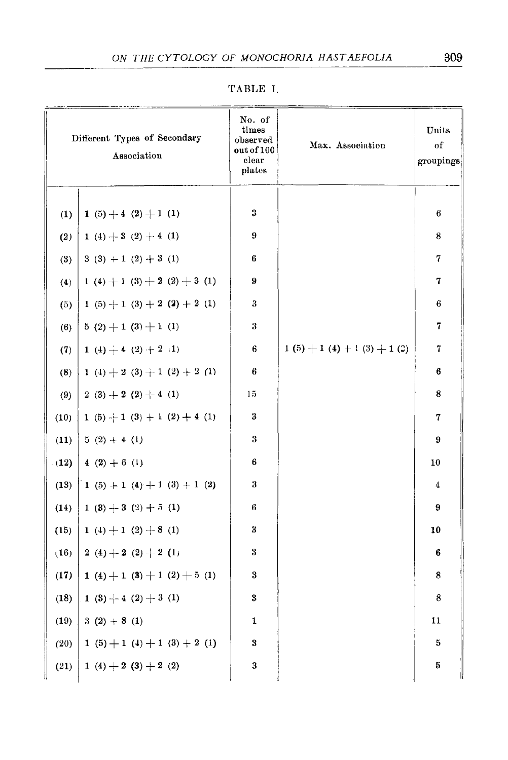| Different Types of Secondary<br>Association |                                     | No. of<br>times<br>observed<br>out of 100<br>clear<br>plates | Max. Association            | Units<br>of<br>groupings |
|---------------------------------------------|-------------------------------------|--------------------------------------------------------------|-----------------------------|--------------------------|
| (1)                                         | 1 (5) $+$ 4 (2) $+$ 1 (1)           | 3                                                            |                             | 6                        |
| (2)                                         | 1 (4) $+3$ (2) $+4$ (1)             | 9                                                            |                             | 8                        |
| (3)                                         | $3(3) + 1(2) + 3(1)$                | 6                                                            |                             | 7                        |
| (4)                                         | 1 (4) $+$ 1 (3) $+$ 2 (2) $+$ 3 (1) | 9                                                            |                             | 7                        |
| (5)                                         | 1 (5) $+$ 1 (3) + 2 (2) + 2 (1)     | 3                                                            |                             | 6                        |
| (6)                                         | $5(2)+1(3)+1(1)$                    | 3                                                            |                             | 7                        |
| (7)                                         | 1 (4) $\div$ 4 (2) $\div$ 2 (1)     | 6                                                            | $1(5) + 1(4) + 1(3) + 1(2)$ | 7                        |
| (8)                                         | 1 (4) + 2 (3) + 1 (2) + 2 (1)       | 6                                                            |                             | 6                        |
| (9)                                         | 2 (3) $+$ 2 (2) $+$ 4 (1)           | 15                                                           |                             | 8                        |
| (10)                                        | 1 (5) $+$ 1 (3) + 1 (2) + 4 (1)     | 3                                                            |                             | 7                        |
| (11)                                        | $5(2) + 4(1)$                       | $\boldsymbol{3}$                                             |                             | 9                        |
| (12)                                        | 4 $(2) + 6$ (1)                     | 6                                                            |                             | $10\,$                   |
| (13)                                        | 1 (5) + 1 (4) + 1 (3) + 1 (2)       | 3                                                            |                             | 4                        |
| (14)                                        | 1 (3) $+3$ (2) $+5$ (1)             | 6                                                            |                             | 9                        |
| (15)                                        | $1(4)+1(2)+8(1)$                    | 3                                                            |                             | 10                       |
| (16)                                        | 2 (4) $+$ 2 (2) $+$ 2 (1)           | 3                                                            |                             | 6                        |
| (17)                                        | 1 (4) + 1 (3) + 1 (2) + 5 (1)       | 3                                                            |                             | 8                        |
| (18)                                        | 1 (3) $+4$ (2) $+3$ (1)             | 3                                                            |                             | 8                        |
| (19)                                        | $3(2) + 8(1)$                       | $\mathbf{1}$                                                 |                             | 11                       |
| (20)                                        | $1(5) + 1(4) + 1(3) + 2(1)$         | 3                                                            |                             | 5                        |
| (21)                                        | 1 (4) $+$ 2 (3) $+$ 2 (2)           | 3                                                            |                             | 5                        |

TABLE I.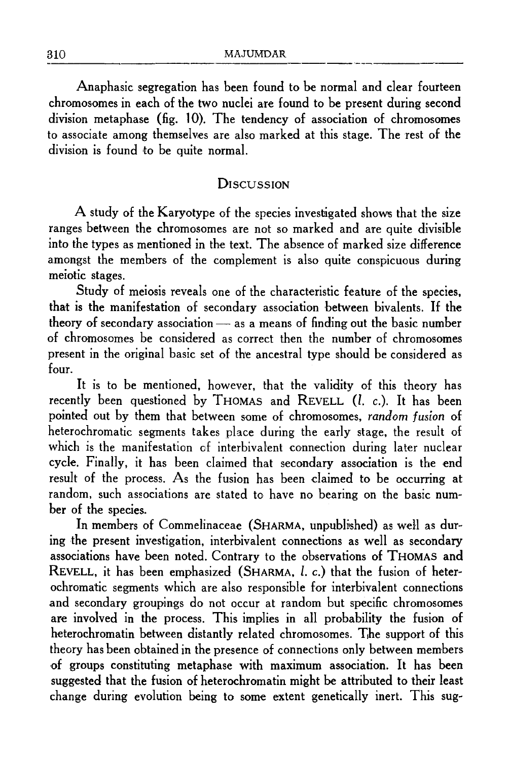Anaphasic segregation has been found to be normal and clear fourteen chromosomes in each of the two nuclei are found to be present during second division metaphase (fig. 10). The tendency of association of chromosomes to associate among themselves are also marked at this stage. The rest of the division is found to be quite normal.

### **DISCUSSION**

A study of the Karyotype of the species investigated shows that the size ranges between the chromosomes are not so marked and are quite divisible into the types as mentioned in the text. The absence of marked size difference amongst the members of the complement is also quite conspicuous during meiotic stages.

Study of meiosis reveals one of the characteristic feature of the species, that is the manifestation of secondary association hetween bivalents. If the theory of secondary association $-$  as a means of finding out the basic number of chromosomes be considered as correct then the number of chromosomes present in the original basic set of the ancestral type should be considered as four.

It is to be mentioned, however, that the validity of this theory has recently been questioned by THOMAS and REVELL (*l. c.*). It has been pointed out by them that between some of chromosomes, *random fusion* of heterochromatic segments takes place during the early stage, the result of which is the manifestation of interbivalent connection during later nuclear cycle. Finally, it has been claimed that secondary association is the end result of the process. As the fusion has been claimed to be occurring at random, such associations are stated to have no bearing on the basic number of the species.

In members of Commelinaceae (SHARMA, unpublished) as well as during the present investigation, interbivalent connections as well as secondary associations have been noted. Contrary to the observations of THOMAS and REVELL, it has been emphasized (SHARMA, *l.* c.) that the fusion of heterochromatic segments which are also responsible for interbivalent connections and secondary groupings do not occur at random but specific chromosomes are involved in the process. This implies in all probability the fusion of heterochromatin between distantly related chromosomes. The support of this theory has been obtained in the presence of connections only between members of groups constituting metaphase with maximum association. It has been suggested that the fusion of heterochromatin might be attributed to their least change during evolution being to some extent genetically inert. This sug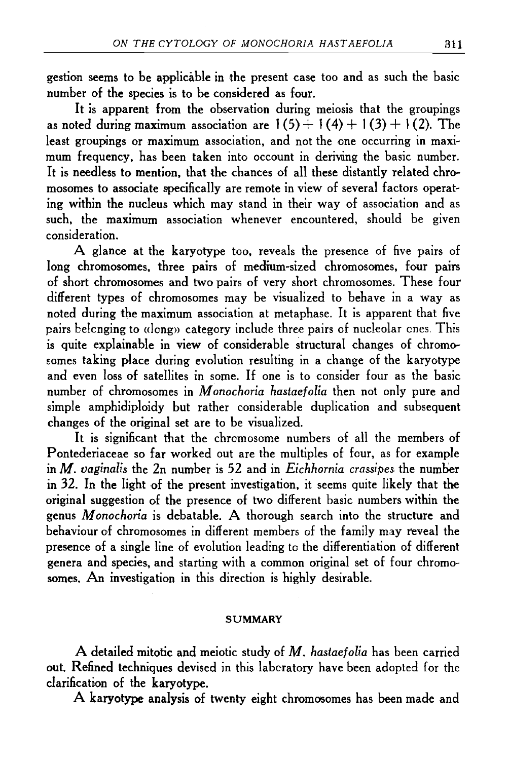gestion seems to he applicable in the present case too and as such the basic number of the species is to be considered as four.

It is apparent from the observation during meiosis that the groupings as noted during maximum association are  $1(5) + 1(4) + 1(3) + 1(2)$ . The least groupings or maximum association, and not the one occurring in maximum frequency, has been taken into occount in deriving the basic number. It is needless to mention, that the chances of all these distantly related chromosomes to associate specifically are remote in view of several factors operating within the nucleus which may stand in their way of association and as such, the maximum association whenever encountered, should be given consideration.

A glance at the karyotype too, reveals the presence of five pairs of long chromosomes, three pairs of medium-sized chromosomes, four pairs of short chromosomes and two pairs of very short chromosomes. These four different types of chromosomes may be visualized to behave in a way as noted during the maximum association at metaphase. It is apparent that five pairs belonging to «long» category include three pairs of nucleolar ones. This is quite explainable in view of considerable structural changes of chromosomes taking place during evolution resulting in a change of the karyotype and even loss of satellites in some. If one is to consider four as the basic number of chromosomes in *M onochoria hastaefolia* then not only pure and simple amphidiploidy but rather considerable duplication and subsequent changes of the original set are to be visualized.

It is significant that the chromosome numbers of all the members of Pontederiaceae so far worked out are the multiples of four, as for example in M. *vaginalis* the 2n number is 52 and in *Eichhornia crassipes.* the number in 32. In the light of the present investigation, it seems quite likely that the original suggestion of the presence of two different basic numbers within the genus *M onochoria* is debatable. A thorough search into the structure and behaviour of chromosomes in different members of the family may reveal the presence of a single line of evolution leading to the differentiation of different genera and species, and starting with a common original set of four chromosomes. An investigation in this direction is highly desirable.

#### **SUMMARY**

A detailed mitotic and meiotic study of M. *hastaefolia* has been carried out. Refined techniques devised in this laboratory have been adopted for the clarification of the karyotype.

A karyotype analysis of twenty eight chromosomes has been made and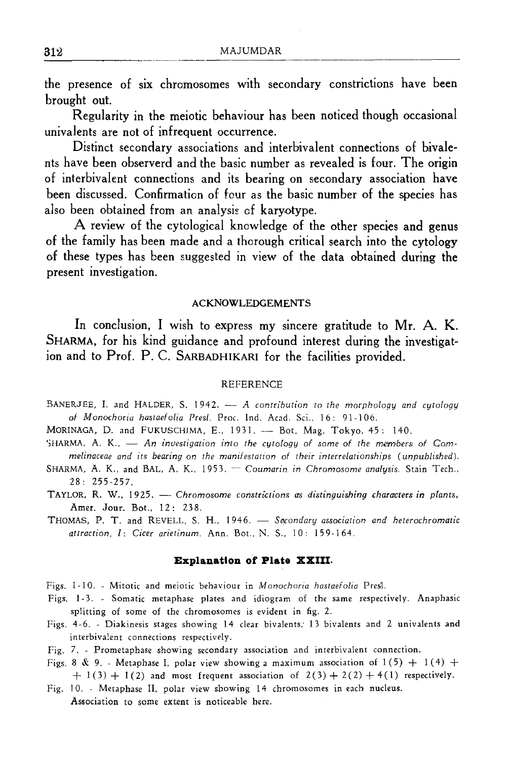the presence of six chromosomes with secondary constrictions have been brought out.

Regularity in the meiotic behaviour has been noticed though occasional univalents are not of infrequent occurrence.

Distinct secondary associations and interbivalent connections of hivale~ nts have been observerd and the basic number as revealed is four. The origin of interbivalent connections and its bearing on secondary association have been discussed. Confirmation of four as the basic number of the species has also been obtained from an analysis of karyotype.

A review of the cytological knowledge of the other species and genus of the family has been made and a thorough critical search into the cytology of these types has been suggested in view of the data obtained during the present investigation.

#### ACKNOWLEDGEMENTS

In conclusion, I wish to express my sincere gratitude to Mr. A. K. SHARMA, for his kind guidance and profound interest during the investigat~ ion and to Prof. P. C. SARBADHIKARI for the facilities provided.

#### REFERENCE

- BANERJEE, I. and HALDER, S. 1942. *A contribution to the morphology and cytology* of Monochoria hastaefolia Presl. Proc. Ind. Acad. Sci., 16: 91-106.
- MORINAGA, D. and FUKUSCHIMA, E., 1931. Bot. Mag. Tokyo, 45: 140.
- SHARMA, A. K., An investigation into the cytology of some of the members of Cam*melinaceae and its bearing on the manifestation of their interrelationships (unpublished).*
- SHARMA, A. K., and BAL, A. K., 1953. *Coumarin in Chromosome analysis*. Stain Tech., 28: 255-257.
- TAYLOR, R. W., 1925. Chromosome constructions as distinguishing characters in plants, Amer. Jour. Bot., 12: 238.
- THOMAS, P. T. and REVELL, S. H., 1946. Secondary association and heterochromatic *attraction,/: Cicer arietinum.* Ann. Bot.. N. S., 10: 159-164.

#### **Explanation of Plate XXIII.**

- Figs. 1-10. Mitotic and meiotic behaviour in *M onochoria hastaefolia* Pres1.
- Figs. 1-3. Somatic metaphase plates and idiogram of the same respectively. Anaphasic splitting of some of the chromosomes is evident in fig. 2.
- Figs. 4-6. Diakinesis stages showing 14 clear bivalents; 13 bivalents and 2 univalents and interbivalent connections respectively.
- Fig. 7. Prometaphase showing secondary association and interbivalent connection.
- Figs. 8 & 9. Metaphase I, polar view showing a maximum association of  $1(5) + 1(4) +$  $+ 1(3) + 1(2)$  and most frequent association of  $2(3) + 2(2) + 4(1)$  respectively.
- Fig. 10. Metaphase II, polar view showing 14 chromosomes in each nucleus. Association to some extent is noticeable here.